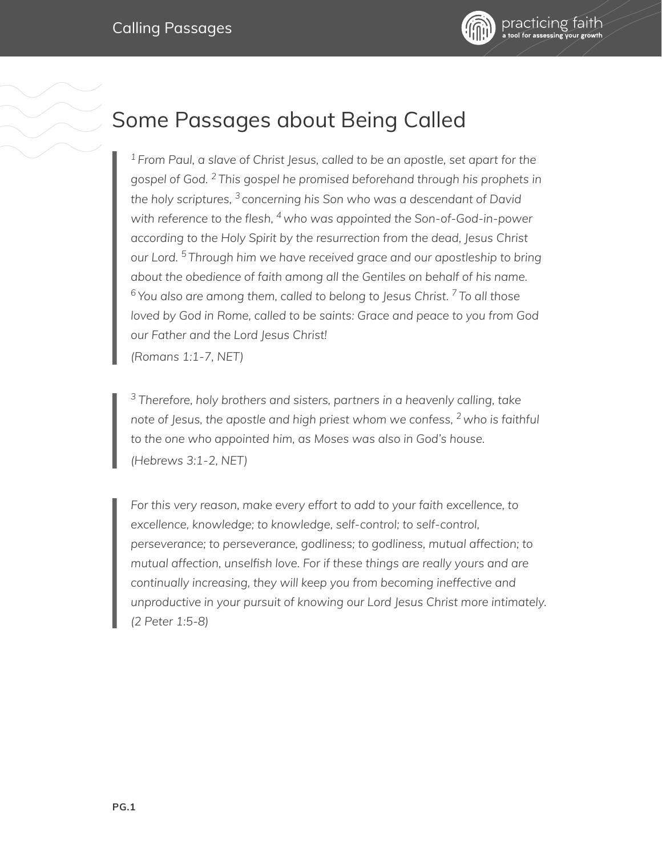



## Some Passages about Being Called

*<sup>1</sup> From Paul, a slave of Christ Jesus, called to be an apostle, set apart for the gospel of God. 2 This gospel he promised beforehand through his prophets in the holy scriptures, 3 concerning his Son who was a descendant of David with reference to the flesh, <sup>4</sup> who was appointed the Son-of-God-in-power according to the Holy Spirit by the resurrection from the dead, Jesus Christ our Lord. <sup>5</sup> Through him we have received grace and our apostleship to bring about the obedience of faith among all the Gentiles on behalf of his name. <sup>6</sup> You also are among them, called to belong to Jesus Christ. <sup>7</sup> To all those loved by God in Rome, called to be saints: Grace and peace to you from God our Father and the Lord Jesus Christ! (Romans 1:1-7, NET)* 

*<sup>3</sup> Therefore, holy brothers and sisters, partners in a heavenly calling, take note of Jesus, the apostle and high priest whom we confess, <sup>2</sup> who is faithful to the one who appointed him, as Moses was also in God's house. (Hebrews 3:1-2, NET)* 

*For this very reason, make every effort to add to your faith excellence, to excellence, knowledge; to knowledge, self-control; to self-control, perseverance; to perseverance, godliness; to godliness, mutual affection; to mutual affection, unselfish love. For if these things are really yours and are continually increasing, they will keep you from becoming ineffective and unproductive in your pursuit of knowing our Lord Jesus Christ more intimately. (2 Peter 1:5-8)*